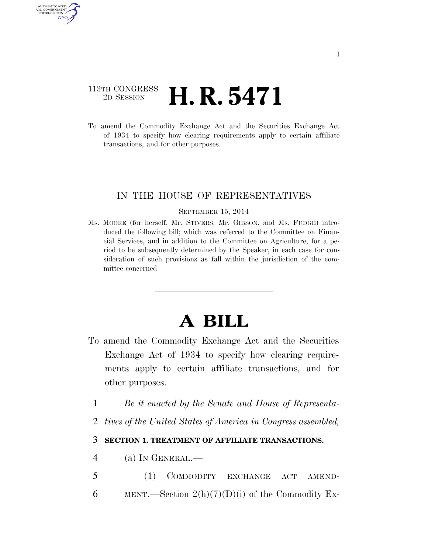## 113TH CONGRESS <sup>2D SESSION</sup> **H. R. 5471**

AUTHENTICATED U.S. GOVERNMENT GPO

> To amend the Commodity Exchange Act and the Securities Exchange Act of 1934 to specify how clearing requirements apply to certain affiliate transactions, and for other purposes.

## IN THE HOUSE OF REPRESENTATIVES

## SEPTEMBER 15, 2014

Ms. MOORE (for herself, Mr. STIVERS, Mr. GIBSON, and Ms. FUDGE) introduced the following bill; which was referred to the Committee on Financial Services, and in addition to the Committee on Agriculture, for a period to be subsequently determined by the Speaker, in each case for consideration of such provisions as fall within the jurisdiction of the committee concerned

## **A BILL**

- To amend the Commodity Exchange Act and the Securities Exchange Act of 1934 to specify how clearing requirements apply to certain affiliate transactions, and for other purposes.
	- 1 *Be it enacted by the Senate and House of Representa-*
	- 2 *tives of the United States of America in Congress assembled,*

3 **SECTION 1. TREATMENT OF AFFILIATE TRANSACTIONS.** 

- 4 (a) IN GENERAL.—
- 5 (1) COMMODITY EXCHANGE ACT AMEND-6 MENT.—Section  $2(h)(7)(D)(i)$  of the Commodity Ex-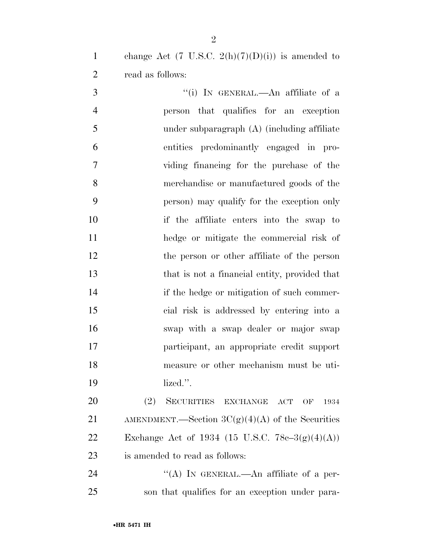1 change Act (7 U.S.C.  $2(h)(7)(D)(i)$ ) is amended to read as follows:

3 "(i) IN GENERAL.—An affiliate of a person that qualifies for an exception under subparagraph (A) (including affiliate entities predominantly engaged in pro- viding financing for the purchase of the merchandise or manufactured goods of the person) may qualify for the exception only if the affiliate enters into the swap to hedge or mitigate the commercial risk of the person or other affiliate of the person that is not a financial entity, provided that if the hedge or mitigation of such commer- cial risk is addressed by entering into a swap with a swap dealer or major swap participant, an appropriate credit support measure or other mechanism must be uti-lized.''.

 (2) SECURITIES EXCHANGE ACT OF 1934 21 AMENDMENT.—Section  $3C(g)(4)(A)$  of the Securities 22 Exchange Act of 1934 (15 U.S.C.  $78c-3(g)(4)(A)$ ) is amended to read as follows:

24 "(A) IN GENERAL.—An affiliate of a per-son that qualifies for an exception under para-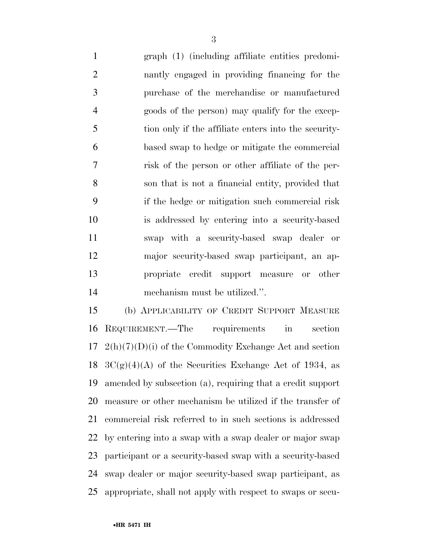graph (1) (including affiliate entities predomi- nantly engaged in providing financing for the purchase of the merchandise or manufactured goods of the person) may qualify for the excep- tion only if the affiliate enters into the security- based swap to hedge or mitigate the commercial risk of the person or other affiliate of the per- son that is not a financial entity, provided that if the hedge or mitigation such commercial risk is addressed by entering into a security-based swap with a security-based swap dealer or major security-based swap participant, an ap- propriate credit support measure or other mechanism must be utilized.''.

 (b) APPLICABILITY OF CREDIT SUPPORT MEASURE REQUIREMENT.—The requirements in section  $17 \text{ } 2(h)(7)(D)(i)$  of the Commodity Exchange Act and section  $3C(g)(4)(A)$  of the Securities Exchange Act of 1934, as amended by subsection (a), requiring that a credit support measure or other mechanism be utilized if the transfer of commercial risk referred to in such sections is addressed by entering into a swap with a swap dealer or major swap participant or a security-based swap with a security-based swap dealer or major security-based swap participant, as appropriate, shall not apply with respect to swaps or secu-